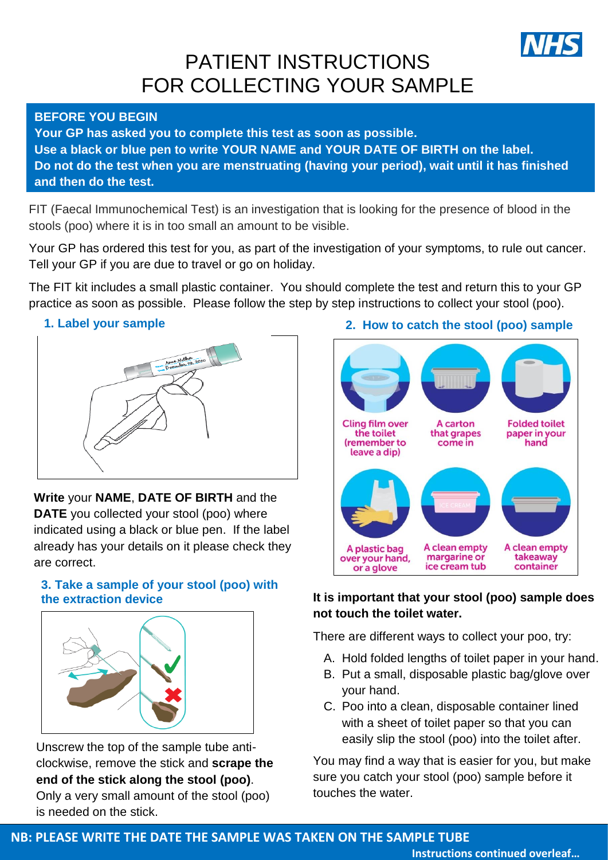

# PATIENT INSTRUCTIONS FOR COLLECTING YOUR SAMPLE

## **BEFORE YOU BEGIN**

 **Your GP has asked you to complete this test as soon as possible. Use a black or blue pen to write YOUR NAME and YOUR DATE OF BIRTH on the label. Do not do the test when you are menstruating (having your period), wait until it has finished and then do the test.**

FIT (Faecal Immunochemical Test) is an investigation that is looking for the presence of blood in the stools (poo) where it is in too small an amount to be visible.

Your GP has ordered this test for you, as part of the investigation of your symptoms, to rule out cancer. Tell your GP if you are due to travel or go on holiday.

The FIT kit includes a small plastic container. You should complete the test and return this to your GP practice as soon as possible. Please follow the step by step instructions to collect your stool (poo).

#### 2. **1. Label your sample**



# 4. **Write** your **NAME**, **DATE OF BIRTH** and the

**DATE** you collected your stool (poo) where indicated using a black or blue pen. If the label already has your details on it please check they are correct.

## 5. **3. Take a sample of your stool (poo) with the extraction device**



Unscrew the top of the sample tube anticlockwise, remove the stick and **scrape the end of the stick along the stool (poo)**. Only a very small amount of the stool (poo) is needed on the stick.

## **2. How to catch the stool (poo) sample**



# **It is important that your stool (poo) sample does not touch the toilet water.**

There are different ways to collect your poo, try:

- A. Hold folded lengths of toilet paper in your hand.
- B. Put a small, disposable plastic bag/glove over your hand.
- C. Poo into a clean, disposable container lined with a sheet of toilet paper so that you can easily slip the stool (poo) into the toilet after.

You may find a way that is easier for you, but make sure you catch your stool (poo) sample before it touches the water.

# **NB: PLEASE WRITE THE DATE THE SAMPLE WAS TAKEN ON THE SAMPLE TUBE**